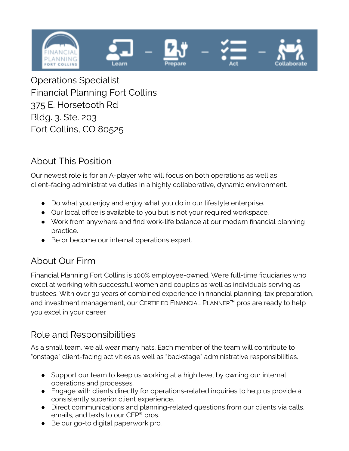

Operations Specialist Financial Planning Fort Collins 375 E. Horsetooth Rd Bldg. 3. Ste. 203 Fort Collins, CO 80525

#### About This Position

Our newest role is for an A-player who will focus on both operations as well as client-facing administrative duties in a highly collaborative, dynamic environment.

- Do what you enjoy and enjoy what you do in our lifestyle enterprise.
- Our local office is available to you but is not your required workspace.
- Work from anywhere and find work-life balance at our modern financial planning practice.
- Be or become our internal operations expert.

# About Our Firm

Financial Planning Fort Collins is 100% employee-owned. We're full-time fiduciaries who excel at working with successful women and couples as well as individuals serving as trustees. With over 30 years of combined experience in financial planning, tax preparation, and investment management, our CERTIFIED FINANCIAL PLANNER™ pros are ready to help you excel in your career.

#### Role and Responsibilities

As a small team, we all wear many hats. Each member of the team will contribute to "onstage" client-facing activities as well as "backstage" administrative responsibilities.

- Support our team to keep us working at a high level by owning our internal operations and processes.
- Engage with clients directly for operations-related inquiries to help us provide a consistently superior client experience.
- Direct communications and planning-related questions from our clients via calls, emails, and texts to our CFP ® pros.
- Be our go-to digital paperwork pro.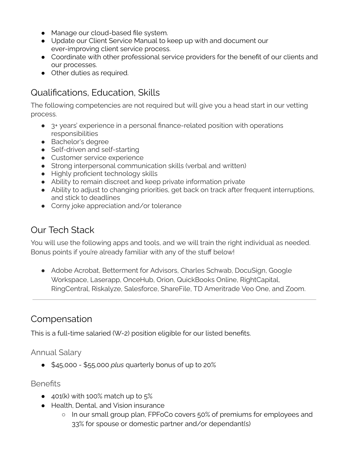- Manage our cloud-based file system.
- Update our Client Service Manual to keep up with and document our ever-improving client service process.
- Coordinate with other professional service providers for the benefit of our clients and our processes.
- Other duties as required.

# Qualifications, Education, Skills

The following competencies are not required but will give you a head start in our vetting process.

- 3+ years' experience in a personal finance-related position with operations responsibilities
- Bachelor's degree
- Self-driven and self-starting
- Customer service experience
- Strong interpersonal communication skills (verbal and written)
- Highly proficient technology skills
- Ability to remain discreet and keep private information private
- Ability to adjust to changing priorities, get back on track after frequent interruptions, and stick to deadlines
- Corny joke appreciation and/or tolerance

# Our Tech Stack

You will use the following apps and tools, and we will train the right individual as needed. Bonus points if you're already familiar with any of the stuff below!

• Adobe Acrobat, Betterment for Advisors, Charles Schwab, DocuSign, Google Workspace, Laserapp, OnceHub, Orion, QuickBooks Online, RightCapital, RingCentral, Riskalyze, Salesforce, ShareFile, TD Ameritrade Veo One, and Zoom.

# Compensation

This is a full-time salaried (W-2) position eligible for our listed benefits.

Annual Salary

● \$45,000 - \$55,000 *plus* quarterly bonus of up to 20%

#### **Benefits**

- $\bullet$  401(k) with 100% match up to  $5\%$
- Health, Dental, and Vision insurance
	- In our small group plan, FPFoCo covers 50% of premiums for employees and 33% for spouse or domestic partner and/or dependant(s)